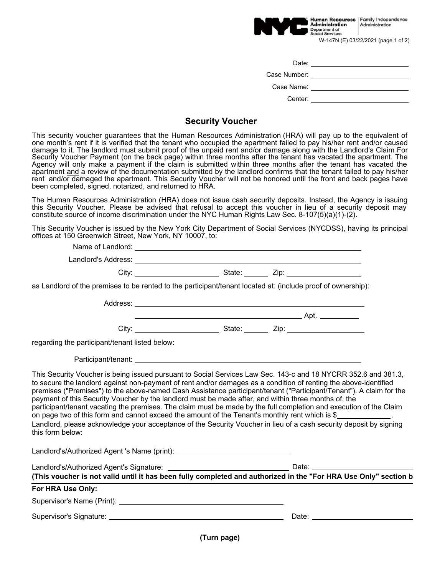

| Date:        |  |
|--------------|--|
| Case Number: |  |
| Case Name:   |  |
| Center:      |  |

## **Security Voucher**

This security voucher guarantees that the Human Resources Administration (HRA) will pay up to the equivalent of one month's rent if it is verified that the tenant who occupied the apartment failed to pay his/her rent and/or caused damage to it. The landlord must submit proof of the unpaid rent and/or damage along with the Landlord's Claim For Security Voucher Payment (on the back page) within three months after the tenant has vacated the apartment. The Agency will only make a payment if the claim is submitted within three months after the tenant has vacated the apartment and a review of the documentation submitted by the landlord confirms that the tenant failed to pay his/her rent and/or damaged the apartment. This Security Voucher will not be honored until the front and back pages have been completed, signed, notarized, and returned to HRA.

The Human Resources Administration (HRA) does not issue cash security deposits. Instead, the Agency is issuing this Security Voucher. Please be advised that refusal to accept this voucher in lieu of a security deposit may constitute source of income discrimination under the NYC Human Rights Law Sec. 8-107(5)(a)(1)-(2).

This Security Voucher is issued by the New York City Department of Social Services (NYCDSS), having its principal offices at 150 Greenwich Street, New York, NY 10007, to:

| as Landlord of the premises to be rented to the participant/tenant located at: (include proof of ownership):                                                                                                                                                                                                                                                                                                                                                                                                                                                                                  |  |                                     |
|-----------------------------------------------------------------------------------------------------------------------------------------------------------------------------------------------------------------------------------------------------------------------------------------------------------------------------------------------------------------------------------------------------------------------------------------------------------------------------------------------------------------------------------------------------------------------------------------------|--|-------------------------------------|
|                                                                                                                                                                                                                                                                                                                                                                                                                                                                                                                                                                                               |  |                                     |
|                                                                                                                                                                                                                                                                                                                                                                                                                                                                                                                                                                                               |  |                                     |
|                                                                                                                                                                                                                                                                                                                                                                                                                                                                                                                                                                                               |  |                                     |
| regarding the participant/tenant listed below:                                                                                                                                                                                                                                                                                                                                                                                                                                                                                                                                                |  |                                     |
|                                                                                                                                                                                                                                                                                                                                                                                                                                                                                                                                                                                               |  |                                     |
| premises ("Premises") to the above-named Cash Assistance participant/tenant ("Participant/Tenant"). A claim for the<br>payment of this Security Voucher by the landlord must be made after, and within three months of, the<br>participant/tenant vacating the premises. The claim must be made by the full completion and execution of the Claim<br>on page two of this form and cannot exceed the amount of the Tenant's monthly rent which is \$<br>Landlord, please acknowledge your acceptance of the Security Voucher in lieu of a cash security deposit by signing<br>this form below: |  |                                     |
| Landlord's/Authorized Agent 's Name (print): ___________________________________                                                                                                                                                                                                                                                                                                                                                                                                                                                                                                              |  |                                     |
| (This voucher is not valid until it has been fully completed and authorized in the "For HRA Use Only" section b                                                                                                                                                                                                                                                                                                                                                                                                                                                                               |  |                                     |
| For HRA Use Only:                                                                                                                                                                                                                                                                                                                                                                                                                                                                                                                                                                             |  |                                     |
|                                                                                                                                                                                                                                                                                                                                                                                                                                                                                                                                                                                               |  |                                     |
|                                                                                                                                                                                                                                                                                                                                                                                                                                                                                                                                                                                               |  | Date: <u>______________________</u> |